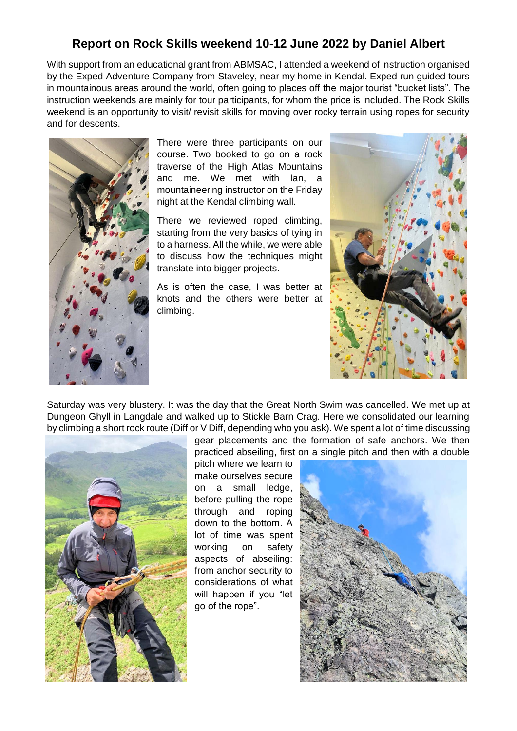## **Report on Rock Skills weekend 10-12 June 2022 by Daniel Albert**

With support from an educational grant from ABMSAC, I attended a weekend of instruction organised by the Exped Adventure Company from Staveley, near my home in Kendal. Exped run guided tours in mountainous areas around the world, often going to places off the major tourist "bucket lists". The instruction weekends are mainly for tour participants, for whom the price is included. The Rock Skills weekend is an opportunity to visit/ revisit skills for moving over rocky terrain using ropes for security and for descents.



There were three participants on our course. Two booked to go on a rock traverse of the High Atlas Mountains and me. We met with Ian, a mountaineering instructor on the Friday night at the Kendal climbing wall.

There we reviewed roped climbing, starting from the very basics of tying in to a harness. All the while, we were able to discuss how the techniques might translate into bigger projects.

As is often the case, I was better at knots and the others were better at climbing.



Saturday was very blustery. It was the day that the Great North Swim was cancelled. We met up at Dungeon Ghyll in Langdale and walked up to Stickle Barn Crag. Here we consolidated our learning by climbing a short rock route (Diff or V Diff, depending who you ask). We spent a lot of time discussing



gear placements and the formation of safe anchors. We then practiced abseiling, first on a single pitch and then with a double pitch where we learn to make ourselves secure on a small ledge, before pulling the rope through and roping down to the bottom. A lot of time was spent working on safety aspects of abseiling: from anchor security to considerations of what will happen if you "let go of the rope".